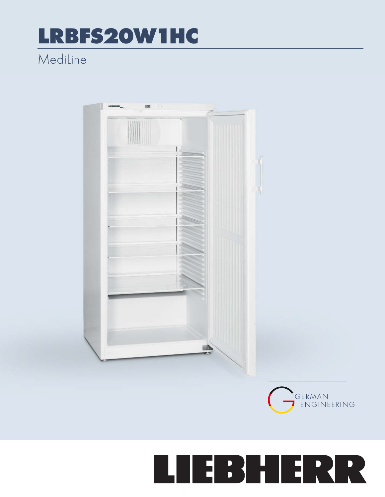## LRBFS20W1HC

## MediLine